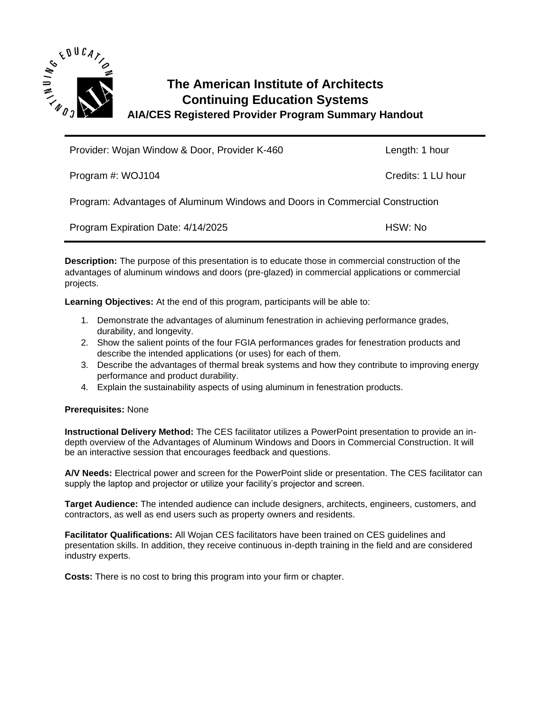

## **The American Institute of Architects Continuing Education Systems AIA/CES Registered Provider Program Summary Handout**

| Provider: Wojan Window & Door, Provider K-460                                | Length: 1 hour     |
|------------------------------------------------------------------------------|--------------------|
| Program #: WOJ104                                                            | Credits: 1 LU hour |
| Program: Advantages of Aluminum Windows and Doors in Commercial Construction |                    |
| Program Expiration Date: 4/14/2025                                           | HSW: No            |

**Description:** The purpose of this presentation is to educate those in commercial construction of the advantages of aluminum windows and doors (pre-glazed) in commercial applications or commercial projects.

**Learning Objectives:** At the end of this program, participants will be able to:

- 1. Demonstrate the advantages of aluminum fenestration in achieving performance grades, durability, and longevity.
- 2. Show the salient points of the four FGIA performances grades for fenestration products and describe the intended applications (or uses) for each of them.
- 3. Describe the advantages of thermal break systems and how they contribute to improving energy performance and product durability.
- 4. Explain the sustainability aspects of using aluminum in fenestration products.

## **Prerequisites:** None

**Instructional Delivery Method:** The CES facilitator utilizes a PowerPoint presentation to provide an indepth overview of the Advantages of Aluminum Windows and Doors in Commercial Construction. It will be an interactive session that encourages feedback and questions.

**A/V Needs:** Electrical power and screen for the PowerPoint slide or presentation. The CES facilitator can supply the laptop and projector or utilize your facility's projector and screen.

**Target Audience:** The intended audience can include designers, architects, engineers, customers, and contractors, as well as end users such as property owners and residents.

**Facilitator Qualifications:** All Wojan CES facilitators have been trained on CES guidelines and presentation skills. In addition, they receive continuous in-depth training in the field and are considered industry experts.

**Costs:** There is no cost to bring this program into your firm or chapter.